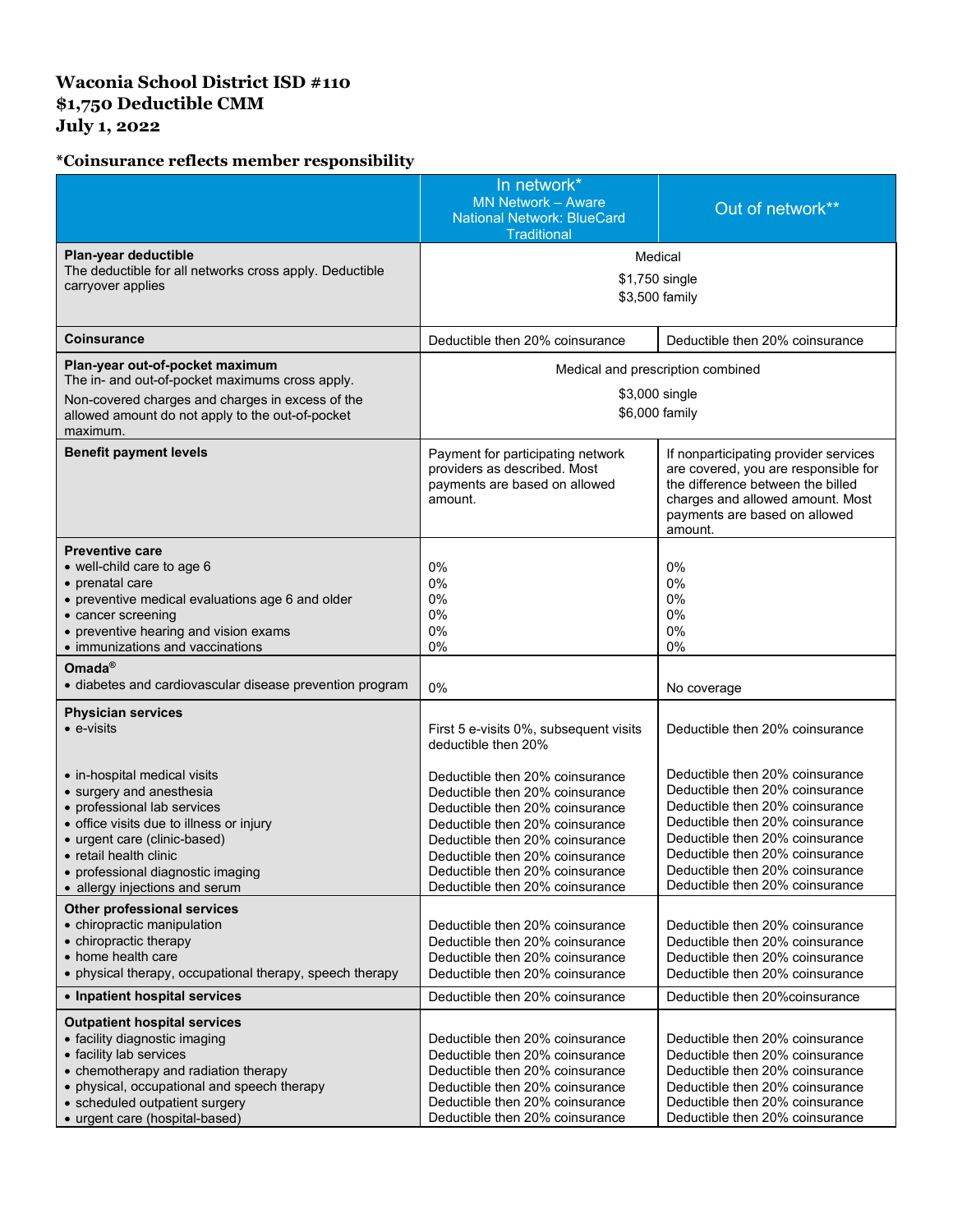## **Waconia School District ISD #110 \$1,750 Deductible CMM July 1, 2022**

## **\*Coinsurance reflects member responsibility**

|                                                                                                                                                                                                                                                                      | In network*<br><b>MN Network - Aware</b><br><b>National Network: BlueCard</b><br>Traditional                                                                                                                                                                                         | Out of network**                                                                                                                                                                                                                                                                     |
|----------------------------------------------------------------------------------------------------------------------------------------------------------------------------------------------------------------------------------------------------------------------|--------------------------------------------------------------------------------------------------------------------------------------------------------------------------------------------------------------------------------------------------------------------------------------|--------------------------------------------------------------------------------------------------------------------------------------------------------------------------------------------------------------------------------------------------------------------------------------|
| Plan-year deductible<br>The deductible for all networks cross apply. Deductible<br>carryover applies                                                                                                                                                                 | Medical<br>\$1,750 single<br>\$3,500 family                                                                                                                                                                                                                                          |                                                                                                                                                                                                                                                                                      |
| <b>Coinsurance</b>                                                                                                                                                                                                                                                   | Deductible then 20% coinsurance                                                                                                                                                                                                                                                      | Deductible then 20% coinsurance                                                                                                                                                                                                                                                      |
| Plan-year out-of-pocket maximum<br>The in- and out-of-pocket maximums cross apply.<br>Non-covered charges and charges in excess of the<br>allowed amount do not apply to the out-of-pocket<br>maximum.                                                               | Medical and prescription combined<br>\$3,000 single<br>\$6,000 family                                                                                                                                                                                                                |                                                                                                                                                                                                                                                                                      |
| <b>Benefit payment levels</b>                                                                                                                                                                                                                                        | Payment for participating network<br>providers as described. Most<br>payments are based on allowed<br>amount.                                                                                                                                                                        | If nonparticipating provider services<br>are covered, you are responsible for<br>the difference between the billed<br>charges and allowed amount. Most<br>payments are based on allowed<br>amount.                                                                                   |
| <b>Preventive care</b><br>• well-child care to age 6<br>• prenatal care<br>• preventive medical evaluations age 6 and older<br>• cancer screening<br>• preventive hearing and vision exams<br>• immunizations and vaccinations                                       | 0%<br>0%<br>0%<br>0%<br>0%<br>0%                                                                                                                                                                                                                                                     | $0\%$<br>0%<br>0%<br>0%<br>0%<br>0%                                                                                                                                                                                                                                                  |
| Omada <sup>®</sup><br>• diabetes and cardiovascular disease prevention program                                                                                                                                                                                       | 0%                                                                                                                                                                                                                                                                                   | No coverage                                                                                                                                                                                                                                                                          |
| <b>Physician services</b><br>$\bullet$ e-visits                                                                                                                                                                                                                      | First 5 e-visits 0%, subsequent visits<br>deductible then 20%                                                                                                                                                                                                                        | Deductible then 20% coinsurance                                                                                                                                                                                                                                                      |
| • in-hospital medical visits<br>• surgery and anesthesia<br>• professional lab services<br>• office visits due to illness or injury<br>• urgent care (clinic-based)<br>• retail health clinic<br>• professional diagnostic imaging<br>• allergy injections and serum | Deductible then 20% coinsurance<br>Deductible then 20% coinsurance<br>Deductible then 20% coinsurance<br>Deductible then 20% coinsurance<br>Deductible then 20% coinsurance<br>Deductible then 20% coinsurance<br>Deductible then 20% coinsurance<br>Deductible then 20% coinsurance | Deductible then 20% coinsurance<br>Deductible then 20% coinsurance<br>Deductible then 20% coinsurance<br>Deductible then 20% coinsurance<br>Deductible then 20% coinsurance<br>Deductible then 20% coinsurance<br>Deductible then 20% coinsurance<br>Deductible then 20% coinsurance |
| <b>Other professional services</b><br>• chiropractic manipulation<br>• chiropractic therapy<br>• home health care<br>• physical therapy, occupational therapy, speech therapy                                                                                        | Deductible then 20% coinsurance<br>Deductible then 20% coinsurance<br>Deductible then 20% coinsurance<br>Deductible then 20% coinsurance                                                                                                                                             | Deductible then 20% coinsurance<br>Deductible then 20% coinsurance<br>Deductible then 20% coinsurance<br>Deductible then 20% coinsurance                                                                                                                                             |
| • Inpatient hospital services                                                                                                                                                                                                                                        | Deductible then 20% coinsurance                                                                                                                                                                                                                                                      | Deductible then 20% coinsurance                                                                                                                                                                                                                                                      |
| <b>Outpatient hospital services</b><br>• facility diagnostic imaging<br>• facility lab services<br>• chemotherapy and radiation therapy<br>• physical, occupational and speech therapy<br>• scheduled outpatient surgery<br>• urgent care (hospital-based)           | Deductible then 20% coinsurance<br>Deductible then 20% coinsurance<br>Deductible then 20% coinsurance<br>Deductible then 20% coinsurance<br>Deductible then 20% coinsurance<br>Deductible then 20% coinsurance                                                                       | Deductible then 20% coinsurance<br>Deductible then 20% coinsurance<br>Deductible then 20% coinsurance<br>Deductible then 20% coinsurance<br>Deductible then 20% coinsurance<br>Deductible then 20% coinsurance                                                                       |